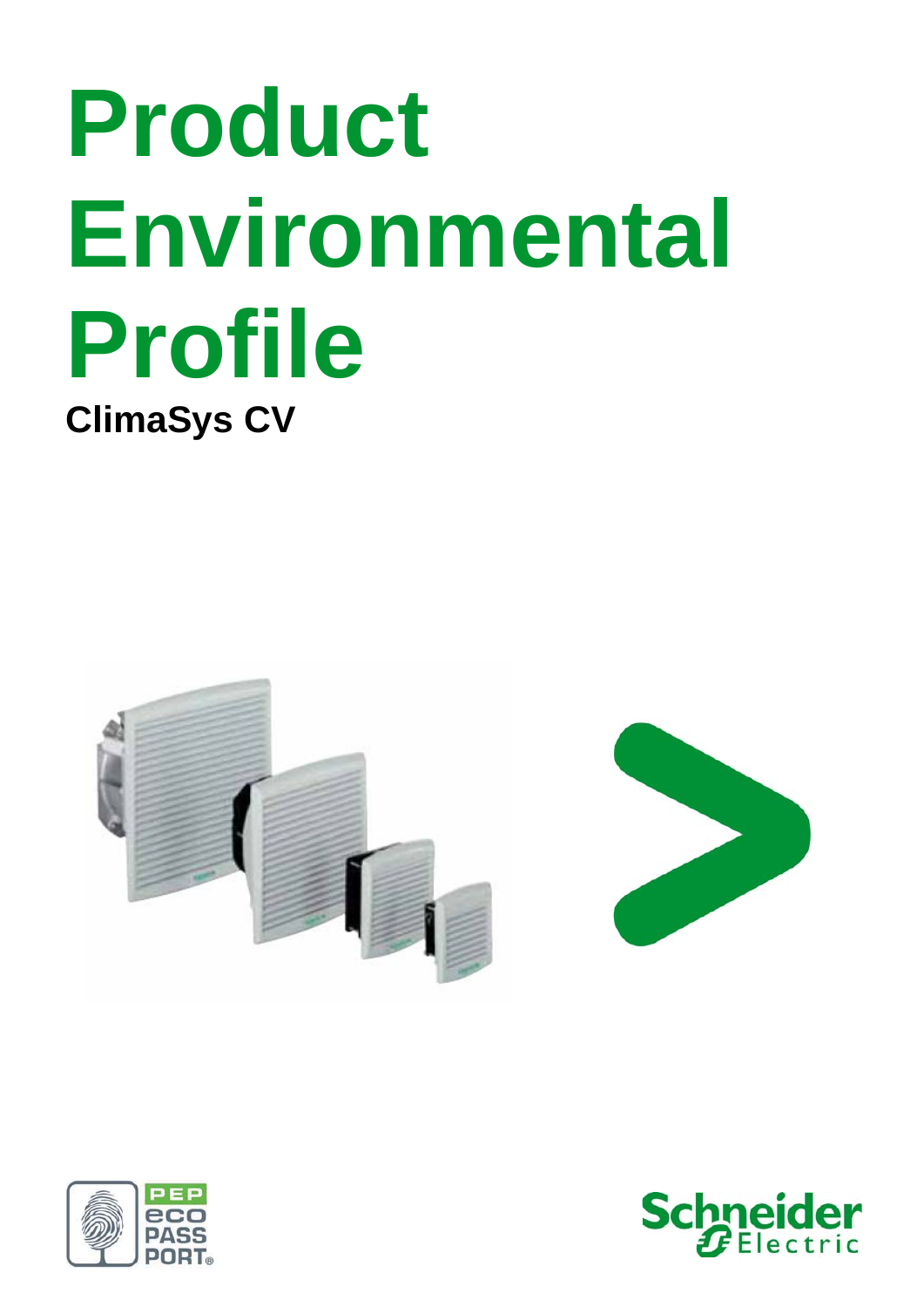# **Product Environmental Profile ClimaSys CV**







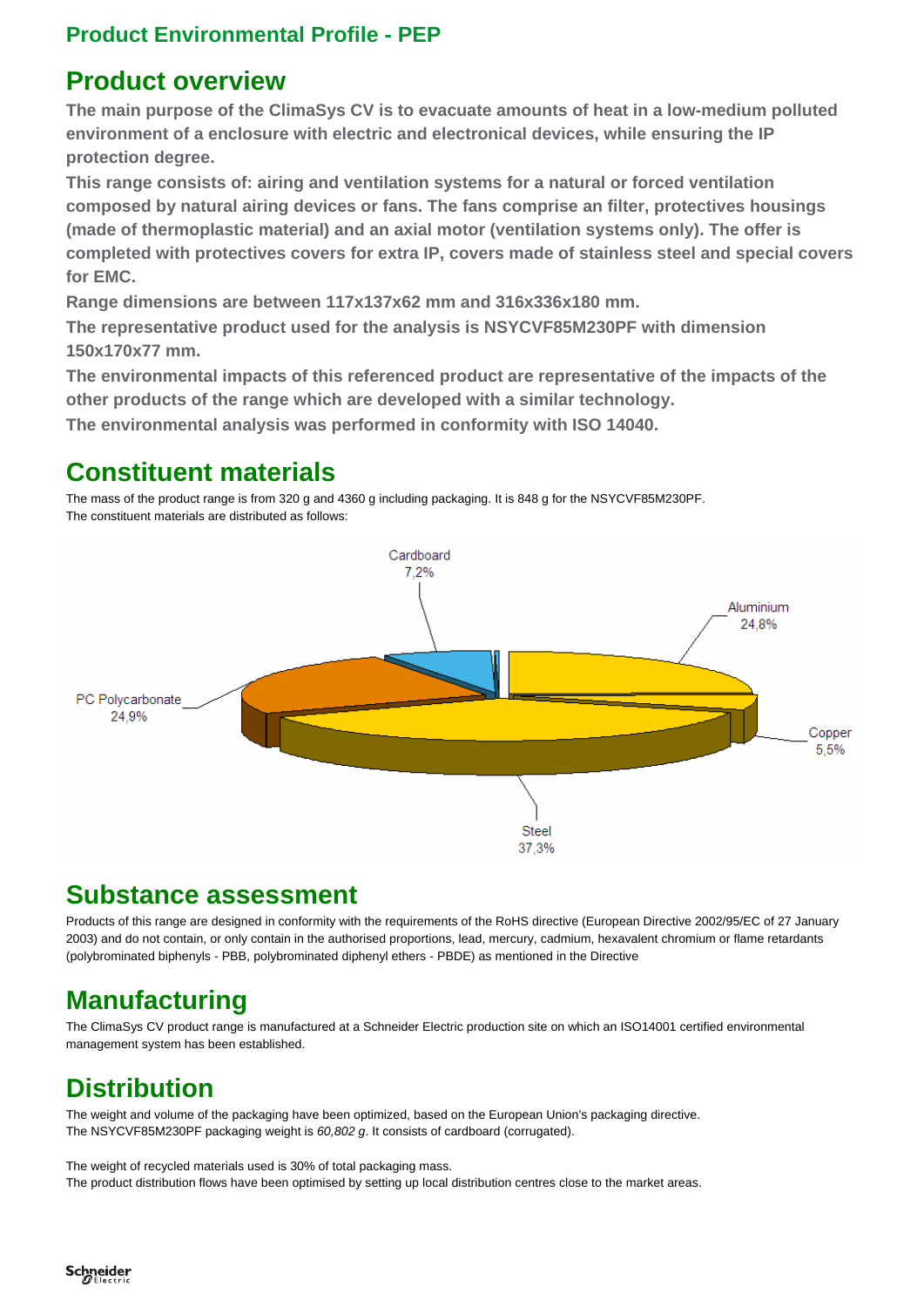#### **Product Environmental Profile - PEP**

#### **Product overview**

**The main purpose of the ClimaSys CV is to evacuate amounts of heat in a low-medium polluted environment of a enclosure with electric and electronical devices, while ensuring the IP protection degree.** 

**This range consists of: airing and ventilation systems for a natural or forced ventilation composed by natural airing devices or fans. The fans comprise an filter, protectives housings (made of thermoplastic material) and an axial motor (ventilation systems only). The offer is completed with protectives covers for extra IP, covers made of stainless steel and special covers for EMC.** 

**Range dimensions are between 117x137x62 mm and 316x336x180 mm.** 

**The representative product used for the analysis is NSYCVF85M230PF with dimension 150x170x77 mm.** 

**The environmental impacts of this referenced product are representative of the impacts of the other products of the range which are developed with a similar technology.** 

**The environmental analysis was performed in conformity with ISO 14040.** 

## **Constituent materials**

The mass of the product range is from 320 g and 4360 g including packaging. It is 848 g for the NSYCVF85M230PF. The constituent materials are distributed as follows:



#### **Substance assessment**

Products of this range are designed in conformity with the requirements of the RoHS directive (European Directive 2002/95/EC of 27 January 2003) and do not contain, or only contain in the authorised proportions, lead, mercury, cadmium, hexavalent chromium or flame retardants (polybrominated biphenyls - PBB, polybrominated diphenyl ethers - PBDE) as mentioned in the Directive

# **Manufacturing**

The ClimaSys CV product range is manufactured at a Schneider Electric production site on which an ISO14001 certified environmental management system has been established.

# **Distribution**

The weight and volume of the packaging have been optimized, based on the European Union's packaging directive. The NSYCVF85M230PF packaging weight is *60,802 g*. It consists of cardboard (corrugated).

The weight of recycled materials used is 30% of total packaging mass. The product distribution flows have been optimised by setting up local distribution centres close to the market areas.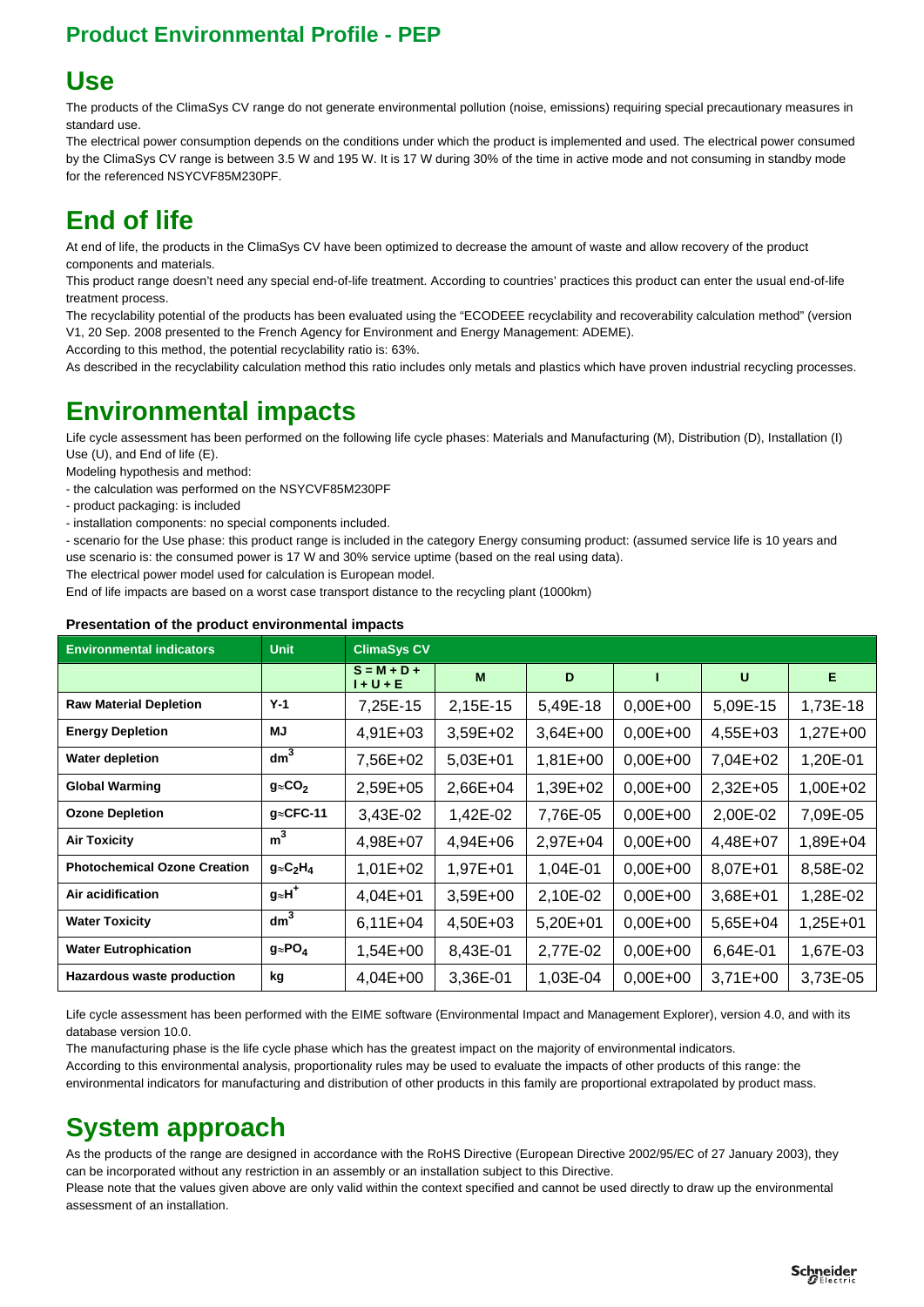## **Product Environmental Profile - PEP**

# **Use**

The products of the ClimaSys CV range do not generate environmental pollution (noise, emissions) requiring special precautionary measures in standard use.

The electrical power consumption depends on the conditions under which the product is implemented and used. The electrical power consumed by the ClimaSys CV range is between 3.5 W and 195 W. It is 17 W during 30% of the time in active mode and not consuming in standby mode for the referenced NSYCVF85M230PF.

# **End of life**

At end of life, the products in the ClimaSys CV have been optimized to decrease the amount of waste and allow recovery of the product components and materials.

This product range doesn't need any special end-of-life treatment. According to countries' practices this product can enter the usual end-of-life treatment process.

The recyclability potential of the products has been evaluated using the "ECODEEE recyclability and recoverability calculation method" (version V1, 20 Sep. 2008 presented to the French Agency for Environment and Energy Management: ADEME).

According to this method, the potential recyclability ratio is: 63%.

As described in the recyclability calculation method this ratio includes only metals and plastics which have proven industrial recycling processes.

# **Environmental impacts**

Life cycle assessment has been performed on the following life cycle phases: Materials and Manufacturing (M), Distribution (D), Installation (I) Use (U), and End of life (E).

Modeling hypothesis and method:

- the calculation was performed on the NSYCVF85M230PF
- product packaging: is included
- installation components: no special components included.

- scenario for the Use phase: this product range is included in the category Energy consuming product: (assumed service life is 10 years and use scenario is: the consumed power is 17 W and 30% service uptime (based on the real using data).

The electrical power model used for calculation is European model.

End of life impacts are based on a worst case transport distance to the recycling plant (1000km)

| <b>Environmental indicators</b>     | <b>Unit</b>         | <b>ClimaSys CV</b>           |            |            |              |          |          |  |
|-------------------------------------|---------------------|------------------------------|------------|------------|--------------|----------|----------|--|
|                                     |                     | $S = M + D +$<br>$1 + U + E$ | M          | D          |              | U        | Е        |  |
| <b>Raw Material Depletion</b>       | $Y-1$               | 7,25E-15                     | 2,15E-15   | 5,49E-18   | $0,00E+00$   | 5,09E-15 | 1,73E-18 |  |
| <b>Energy Depletion</b>             | MJ                  | 4,91E+03                     | 3,59E+02   | $3,64E+00$ | $0,00E+00$   | 4,55E+03 | 1,27E+00 |  |
| <b>Water depletion</b>              | dm <sup>3</sup>     | 7,56E+02                     | $5,03E+01$ | 1,81E+00   | $0,00E + 00$ | 7,04E+02 | 1,20E-01 |  |
| <b>Global Warming</b>               | $g \approx CO2$     | 2,59E+05                     | 2,66E+04   | 1,39E+02   | $0,00E+00$   | 2,32E+05 | 1,00E+02 |  |
| <b>Ozone Depletion</b>              | $q \approx CFC-11$  | 3,43E-02                     | 1,42E-02   | 7,76E-05   | $0,00E+00$   | 2,00E-02 | 7,09E-05 |  |
| <b>Air Toxicity</b>                 | $\overline{m}^3$    | 4,98E+07                     | 4,94E+06   | 2,97E+04   | $0,00E+00$   | 4,48E+07 | 1,89E+04 |  |
| <b>Photochemical Ozone Creation</b> | $g \approx C_2 H_4$ | $1,01E+02$                   | 1,97E+01   | 1,04E-01   | $0,00E+00$   | 8,07E+01 | 8,58E-02 |  |
| Air acidification                   | $g_{\approx}H^+$    | $4,04E+01$                   | 3,59E+00   | 2,10E-02   | $0,00E+00$   | 3,68E+01 | 1,28E-02 |  |
| <b>Water Toxicity</b>               | dm <sup>3</sup>     | $6,11E+04$                   | 4,50E+03   | $5,20E+01$ | $0,00E+00$   | 5,65E+04 | 1,25E+01 |  |
| <b>Water Eutrophication</b>         | $g \approx PO_4$    | $1,54E+00$                   | 8,43E-01   | 2,77E-02   | $0,00E+00$   | 6,64E-01 | 1,67E-03 |  |
| Hazardous waste production          | kg                  | $4,04E+00$                   | 3,36E-01   | 1,03E-04   | $0,00E+00$   | 3,71E+00 | 3,73E-05 |  |

#### **Presentation of the product environmental impacts**

Life cycle assessment has been performed with the EIME software (Environmental Impact and Management Explorer), version 4.0, and with its database version 10.0.

The manufacturing phase is the life cycle phase which has the greatest impact on the majority of environmental indicators.

According to this environmental analysis, proportionality rules may be used to evaluate the impacts of other products of this range: the environmental indicators for manufacturing and distribution of other products in this family are proportional extrapolated by product mass.

## **System approach**

As the products of the range are designed in accordance with the RoHS Directive (European Directive 2002/95/EC of 27 January 2003), they can be incorporated without any restriction in an assembly or an installation subject to this Directive.

Please note that the values given above are only valid within the context specified and cannot be used directly to draw up the environmental assessment of an installation.